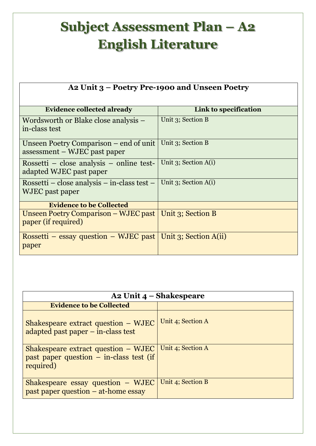## **Subject Assessment Plan – A2 English Literature**

| A2 Unit 3 – Poetry Pre-1900 and Unseen Poetry                          |                           |  |
|------------------------------------------------------------------------|---------------------------|--|
| <b>Evidence collected already</b>                                      | Link to specification     |  |
| Wordsworth or Blake close analysis –<br>in-class test                  | Unit 3; Section B         |  |
| Unseen Poetry Comparison – end of unit<br>assessment – WJEC past paper | Unit 3; Section B         |  |
| Rossetti – close analysis – online test-<br>adapted WJEC past paper    | Unit $3$ ; Section $A(i)$ |  |
| Rossetti – close analysis – in-class test –<br>WJEC past paper         | Unit $3$ ; Section $A(i)$ |  |
| <b>Evidence to be Collected</b>                                        |                           |  |
| Unseen Poetry Comparison – WJEC past<br>paper (if required)            | Unit 3; Section B         |  |
| Rossetti – essay question – WJEC past<br>paper                         | Unit 3; Section A(ii)     |  |

| A2 Unit $4$ – Shakespeare                                                                     |                   |  |
|-----------------------------------------------------------------------------------------------|-------------------|--|
| <b>Evidence to be Collected</b>                                                               |                   |  |
| Shakespeare extract question – WJEC<br>adapted past paper – in-class test                     | Unit 4; Section A |  |
| Shakespeare extract question – WJEC<br>past paper question $-$ in-class test (if<br>required) | Unit 4; Section A |  |
| Shakespeare essay question – WJEC<br>past paper question $-$ at-home essay                    | Unit 4; Section B |  |